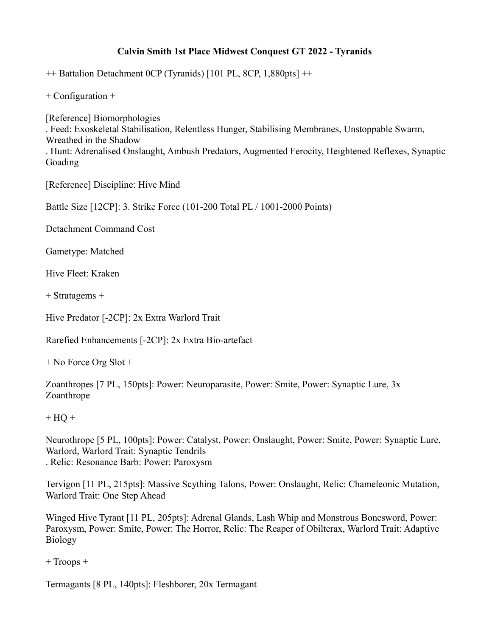## **Calvin Smith 1st Place Midwest Conquest GT 2022 - Tyranids**

++ Battalion Detachment 0CP (Tyranids) [101 PL, 8CP, 1,880pts] ++

+ Configuration +

[Reference] Biomorphologies . Feed: Exoskeletal Stabilisation, Relentless Hunger, Stabilising Membranes, Unstoppable Swarm, Wreathed in the Shadow . Hunt: Adrenalised Onslaught, Ambush Predators, Augmented Ferocity, Heightened Reflexes, Synaptic Goading

[Reference] Discipline: Hive Mind

Battle Size [12CP]: 3. Strike Force (101-200 Total PL / 1001-2000 Points)

Detachment Command Cost

Gametype: Matched

Hive Fleet: Kraken

+ Stratagems +

Hive Predator [-2CP]: 2x Extra Warlord Trait

Rarefied Enhancements [-2CP]: 2x Extra Bio-artefact

+ No Force Org Slot +

Zoanthropes [7 PL, 150pts]: Power: Neuroparasite, Power: Smite, Power: Synaptic Lure, 3x Zoanthrope

## $+ HO +$

Neurothrope [5 PL, 100pts]: Power: Catalyst, Power: Onslaught, Power: Smite, Power: Synaptic Lure, Warlord, Warlord Trait: Synaptic Tendrils . Relic: Resonance Barb: Power: Paroxysm

Tervigon [11 PL, 215pts]: Massive Scything Talons, Power: Onslaught, Relic: Chameleonic Mutation, Warlord Trait: One Step Ahead

Winged Hive Tyrant [11 PL, 205pts]: Adrenal Glands, Lash Whip and Monstrous Bonesword, Power: Paroxysm, Power: Smite, Power: The Horror, Relic: The Reaper of Obilterax, Warlord Trait: Adaptive Biology

+ Troops +

Termagants [8 PL, 140pts]: Fleshborer, 20x Termagant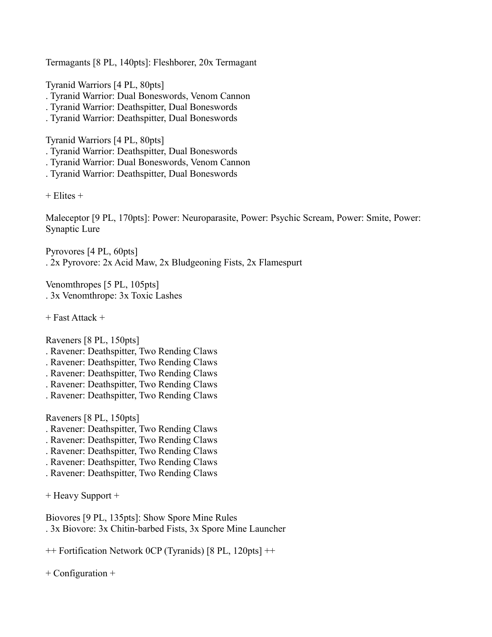Termagants [8 PL, 140pts]: Fleshborer, 20x Termagant

Tyranid Warriors [4 PL, 80pts]

- . Tyranid Warrior: Dual Boneswords, Venom Cannon
- . Tyranid Warrior: Deathspitter, Dual Boneswords
- . Tyranid Warrior: Deathspitter, Dual Boneswords

Tyranid Warriors [4 PL, 80pts]

- . Tyranid Warrior: Deathspitter, Dual Boneswords
- . Tyranid Warrior: Dual Boneswords, Venom Cannon
- . Tyranid Warrior: Deathspitter, Dual Boneswords

+ Elites +

Maleceptor [9 PL, 170pts]: Power: Neuroparasite, Power: Psychic Scream, Power: Smite, Power: Synaptic Lure

Pyrovores [4 PL, 60pts] . 2x Pyrovore: 2x Acid Maw, 2x Bludgeoning Fists, 2x Flamespurt

Venomthropes [5 PL, 105pts] . 3x Venomthrope: 3x Toxic Lashes

+ Fast Attack +

Raveners [8 PL, 150pts]

- . Ravener: Deathspitter, Two Rending Claws
- . Ravener: Deathspitter, Two Rending Claws
- . Ravener: Deathspitter, Two Rending Claws
- . Ravener: Deathspitter, Two Rending Claws
- . Ravener: Deathspitter, Two Rending Claws

Raveners [8 PL, 150pts]

- . Ravener: Deathspitter, Two Rending Claws
- . Ravener: Deathspitter, Two Rending Claws
- . Ravener: Deathspitter, Two Rending Claws
- . Ravener: Deathspitter, Two Rending Claws
- . Ravener: Deathspitter, Two Rending Claws

+ Heavy Support +

Biovores [9 PL, 135pts]: Show Spore Mine Rules . 3x Biovore: 3x Chitin-barbed Fists, 3x Spore Mine Launcher

++ Fortification Network 0CP (Tyranids) [8 PL, 120pts] ++

+ Configuration +